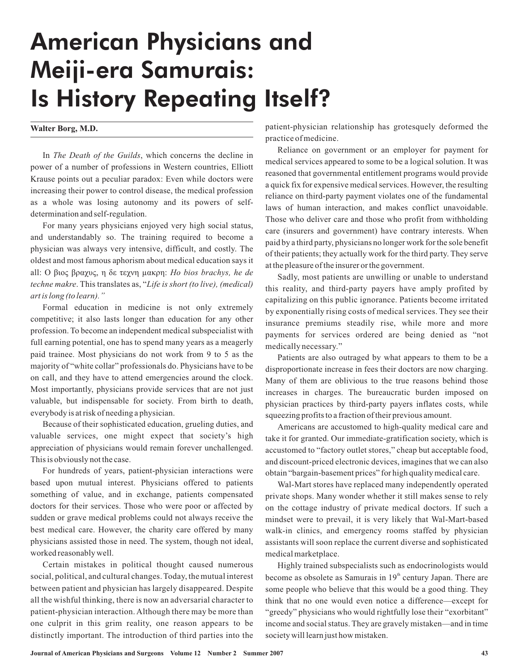## American Physicians and Meiji-era Samurais: Is History Repeating Itself?

## **Walter Borg, M.D.**

In The Death of the Guilds, which concerns the decline in power of a number of professions in Western countries, Elliott Krause points out a peculiar paradox: Even while doctors were increasing their power to control disease, the medical profession as a whole was losing autonomy and its powers of selfdetermination and self-regulation.

For many years physicians enjoyed very high social status, and understandably so. The training required to become a physician was always very intensive, difficult, and costly. The oldest and most famo us aphorism about medical education says it all: Ο βιος βραχυς, η δε τεχνη μακρη: *Ho bios brachys, he de* techne makre. This translates as, "Life is short (to live), (medical) *art is long (to learn)."*

Formal education in medicine is not only extremely competitive; it also lasts longer than education for any other profession. To become an independent medical subspecialist with full earning potential, one has to spend many years as a meagerly paid trainee. Most physicians do not work from 9 to 5 as the majority of "white collar" professionals do. Physicians have to be on call, and they have to attend emergencies around the clock. Most importantly, physicians provide services that are not just valuable, but indispensable for society. From birth to death, everybodyis at risk of needing a physician.

Because of their sophisticated education, grueling duties, and valuable services, one might expect that society's high appreciation of physicians would remain forever unchallenged. This is obviously not the case.

For hundreds of years, patient-physician interactions were based upon mutual interest. Physicians offered to patients something of value, and in exchange, patients compensated doctors for their services. Those who were poor or affected by sudden or grave medical problems could not always receive the best medical care. However, the charity care offered by many physicians assisted those in need. The system, though not ideal, worked reasonably well.

Certain mistakes in political thought caused numerous social, political, and cultural changes. Today, the mutual interest between patient and physician has largely disappeared. Despite all the wishful thinking, there is now an adversarial character to patient-physician interaction.Although there may be more than one culprit in this grim reality, one reason appears to be distinctly important. The introduction of third parties into the patient-physician relationship has grotesquely deformed the practice ofmedicine.

Reliance on government or an employer for payment for medical services appeared to some to be a logical solution. It was reasoned that governmental entitlement programs would provide a quick fix for expensive medical services. However, the resulting reliance on third-party payment violates one of the fundamental laws of human interaction, and makes conflict unavoidable. Those who deliver care and those who profit from withholding care (insurers and government) have contrary interests. When paid by a third party, physicians no longer work for the sole benefit of their patients; they actually work for the third party. They serve at the pleasure of the insurer or the government.

Sadly, most patients are unwilling or unable to understand this reality, and third-party payers have amply profited by capitalizing on this public ignorance. Patients become irritated by exponentially rising costs of medical services. They see their insurance premiums steadily rise, while more and more payments for services ordered are being denied as "not medically necessary."

Patients are also outraged by what appears to them to be a disproportionate increase in fees their doctors are now charging. Many of them are oblivious to the true reasons behind those increases in charges. The bureaucratic burden imposed on physician practices by third-party payers inflates costs, while squeezing profits to a fraction of their previous amount.

Americans are accustomed to high-quality medical care and take it for granted. Our immediate-gratification society, which is accustomed to "factory outlet stores," cheap but acceptable food, and discount-priced electronic devices, imagines that we can also obtain "bargain-basement prices" for high quality medical care.

Wal-Mart stores have replaced many independently operated private shops. Many wonder whether it still makes sense to rely on the cottage industry of private medical doctors. If such a mindset were to prevail, it is very likely that Wal-Mart-based walk-in clinics, and emergency rooms staffed by physician assistants will soon replace the current diverse and sophisticated medical marketplace.

Highly trained subspecialists such as endocrinologists would become as obsolete as Samurais in 19<sup>th</sup> century Japan. There are some people who believe that this would be a good thing. They think that no one would even notice a difference—except for "greedy" physicians who would rightfully lose their "exorbitant" income and social status. They are gravely mistaken—and in time society will learn just how mistaken.